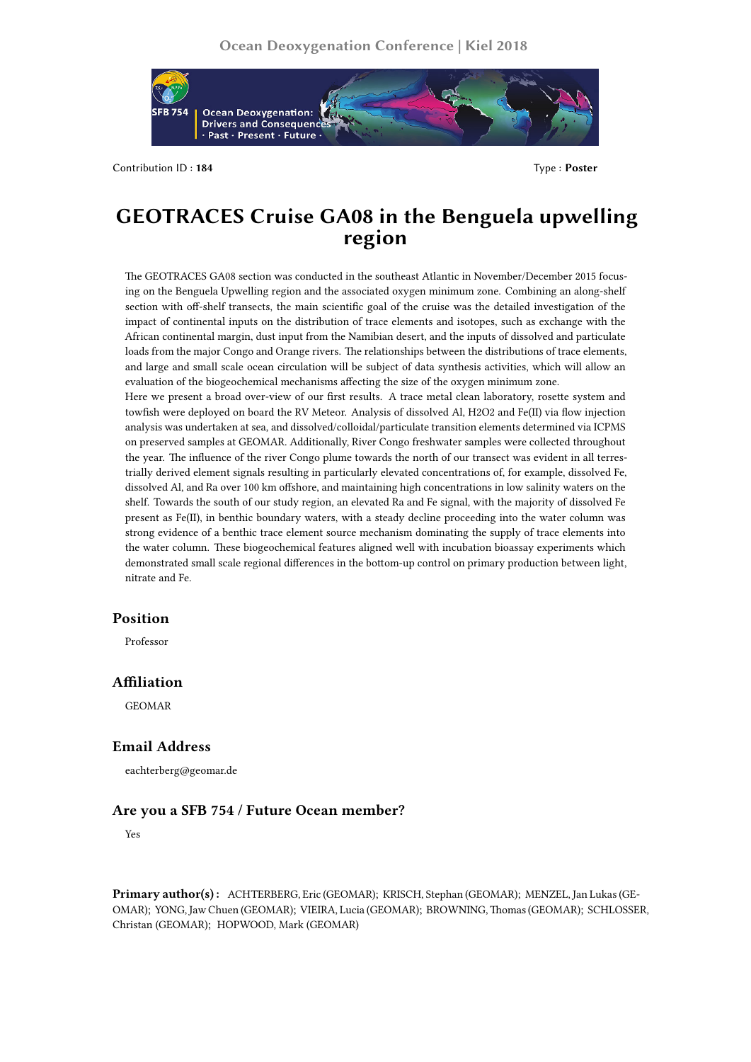

Contribution ID : **184** Type : **Poster**

# **GEOTRACES Cruise GA08 in the Benguela upwelling region**

The GEOTRACES GA08 section was conducted in the southeast Atlantic in November/December 2015 focusing on the Benguela Upwelling region and the associated oxygen minimum zone. Combining an along-shelf section with off-shelf transects, the main scientific goal of the cruise was the detailed investigation of the impact of continental inputs on the distribution of trace elements and isotopes, such as exchange with the African continental margin, dust input from the Namibian desert, and the inputs of dissolved and particulate loads from the major Congo and Orange rivers. The relationships between the distributions of trace elements, and large and small scale ocean circulation will be subject of data synthesis activities, which will allow an evaluation of the biogeochemical mechanisms affecting the size of the oxygen minimum zone.

Here we present a broad over-view of our first results. A trace metal clean laboratory, rosette system and towfish were deployed on board the RV Meteor. Analysis of dissolved Al, H2O2 and Fe(II) via flow injection analysis was undertaken at sea, and dissolved/colloidal/particulate transition elements determined via ICPMS on preserved samples at GEOMAR. Additionally, River Congo freshwater samples were collected throughout the year. The influence of the river Congo plume towards the north of our transect was evident in all terrestrially derived element signals resulting in particularly elevated concentrations of, for example, dissolved Fe, dissolved Al, and Ra over 100 km offshore, and maintaining high concentrations in low salinity waters on the shelf. Towards the south of our study region, an elevated Ra and Fe signal, with the majority of dissolved Fe present as Fe(II), in benthic boundary waters, with a steady decline proceeding into the water column was strong evidence of a benthic trace element source mechanism dominating the supply of trace elements into the water column. These biogeochemical features aligned well with incubation bioassay experiments which demonstrated small scale regional differences in the bottom-up control on primary production between light, nitrate and Fe.

# **Position**

Professor

## **Affiliation**

GEOMAR

## **Email Address**

eachterberg@geomar.de

## **Are you a SFB 754 / Future Ocean member?**

Yes

**Primary author(s) :** ACHTERBERG, Eric (GEOMAR); KRISCH, Stephan (GEOMAR); MENZEL, Jan Lukas (GE-OMAR); YONG, Jaw Chuen (GEOMAR); VIEIRA, Lucia (GEOMAR); BROWNING,Thomas (GEOMAR); SCHLOSSER, Christan (GEOMAR); HOPWOOD, Mark (GEOMAR)